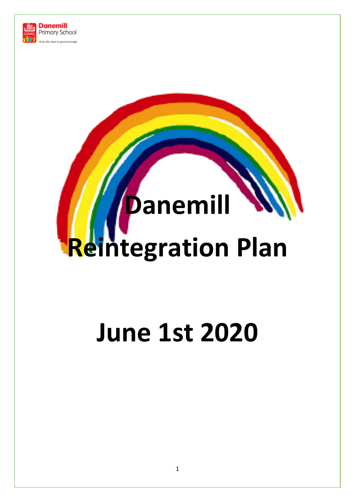

# **Danemill Reintegration Plan**

# **June 1st 2020**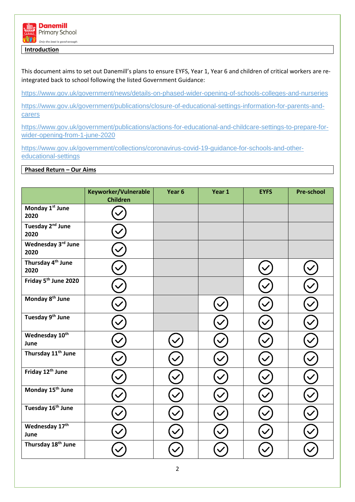

**Introduction**

This document aims to set out Danemill's plans to ensure EYFS, Year 1, Year 6 and children of critical workers are reintegrated back to school following the listed Government Guidance:

<https://www.gov.uk/government/news/details-on-phased-wider-opening-of-schools-colleges-and-nurseries>

[https://www.gov.uk/government/publications/closure-of-educational-settings-information-for-parents-and](https://www.gov.uk/government/publications/closure-of-educational-settings-information-for-parents-and-carers)[carers](https://www.gov.uk/government/publications/closure-of-educational-settings-information-for-parents-and-carers)

[https://www.gov.uk/government/publications/actions-for-educational-and-childcare-settings-to-prepare-for](https://www.gov.uk/government/publications/actions-for-educational-and-childcare-settings-to-prepare-for-wider-opening-from-1-june-2020)[wider-opening-from-1-june-2020](https://www.gov.uk/government/publications/actions-for-educational-and-childcare-settings-to-prepare-for-wider-opening-from-1-june-2020)

[https://www.gov.uk/government/collections/coronavirus-covid-19-guidance-for-schools-and-other](https://www.gov.uk/government/collections/coronavirus-covid-19-guidance-for-schools-and-other-educational-settings)[educational-settings](https://www.gov.uk/government/collections/coronavirus-covid-19-guidance-for-schools-and-other-educational-settings)

## **Phased Return – Our Aims**

|                                       | Keyworker/Vulnerable<br><b>Children</b> | Year 6 | Year 1 | <b>EYFS</b> | <b>Pre-school</b> |
|---------------------------------------|-----------------------------------------|--------|--------|-------------|-------------------|
| Monday 1st June<br>2020               |                                         |        |        |             |                   |
| Tuesday 2 <sup>nd</sup> June<br>2020  |                                         |        |        |             |                   |
| Wednesday 3rd June<br>2020            |                                         |        |        |             |                   |
| Thursday 4 <sup>th</sup> June<br>2020 |                                         |        |        |             |                   |
| Friday 5 <sup>th</sup> June 2020      |                                         |        |        |             |                   |
| Monday 8 <sup>th</sup> June           |                                         |        |        |             |                   |
| Tuesday 9 <sup>th</sup> June          |                                         |        |        |             |                   |
| Wednesday 10th<br>June                |                                         |        |        |             |                   |
| Thursday 11 <sup>th</sup> June        |                                         |        |        |             |                   |
| Friday 12 <sup>th</sup> June          |                                         |        |        |             |                   |
| Monday 15 <sup>th</sup> June          |                                         |        |        |             |                   |
| Tuesday 16 <sup>th</sup> June         |                                         |        |        |             |                   |
| Wednesday 17th<br>June                |                                         |        |        |             |                   |
| Thursday 18 <sup>th</sup> June        |                                         |        |        |             |                   |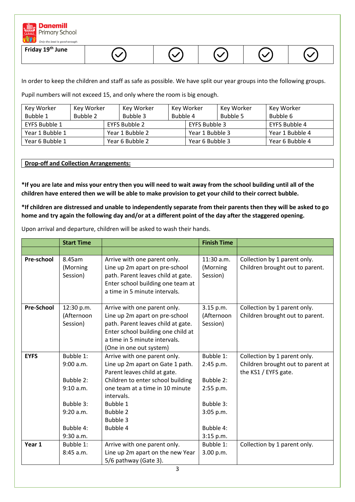

| Friday 19 <sup>th</sup> June<br>∼ | ∼ | v |  |  |
|-----------------------------------|---|---|--|--|
|-----------------------------------|---|---|--|--|

In order to keep the children and staff as safe as possible. We have split our year groups into the following groups.

Pupil numbers will not exceed 15, and only where the room is big enough.

| Key Worker      | Key Worker | Key Worker      |          | Key Worker      | Key Worker | Key Worker      |
|-----------------|------------|-----------------|----------|-----------------|------------|-----------------|
| Bubble 1        | Bubble 2   | Bubble 3        | Bubble 4 |                 | Bubble 5   | Bubble 6        |
| EYFS Bubble 1   |            | EYFS Bubble 2   |          | EYFS Bubble 3   |            | EYFS Bubble 4   |
| Year 1 Bubble 1 |            | Year 1 Bubble 2 |          | Year 1 Bubble 3 |            | Year 1 Bubble 4 |
| Year 6 Bubble 1 |            | Year 6 Bubble 2 |          | Year 6 Bubble 3 |            | Year 6 Bubble 4 |

# **Drop-off and Collection Arrangements:**

**\*If you are late and miss your entry then you will need to wait away from the school building until all of the children have entered then we will be able to make provision to get your child to their correct bubble.** 

**\*If children are distressed and unable to independently separate from their parents then they will be asked to go home and try again the following day and/or at a different point of the day after the staggered opening.** 

Upon arrival and departure, children will be asked to wash their hands.

|                   | <b>Start Time</b>                                                                                    |                                                                                                                                                                                                                                                      | <b>Finish Time</b>                                                                                   |                                                                                           |
|-------------------|------------------------------------------------------------------------------------------------------|------------------------------------------------------------------------------------------------------------------------------------------------------------------------------------------------------------------------------------------------------|------------------------------------------------------------------------------------------------------|-------------------------------------------------------------------------------------------|
|                   |                                                                                                      |                                                                                                                                                                                                                                                      |                                                                                                      |                                                                                           |
| Pre-school        | 8.45am<br>(Morning<br>Session)                                                                       | Arrive with one parent only.<br>Line up 2m apart on pre-school<br>path. Parent leaves child at gate.<br>Enter school building one team at<br>a time in 5 minute intervals.                                                                           | $11:30$ a.m.<br>(Morning<br>Session)                                                                 | Collection by 1 parent only.<br>Children brought out to parent.                           |
| <b>Pre-School</b> | 12:30 p.m.<br>(Afternoon<br>Session)                                                                 | Arrive with one parent only.<br>Line up 2m apart on pre-school<br>path. Parent leaves child at gate.<br>Enter school building one child at<br>a time in 5 minute intervals.<br>(One in one out system)                                               | 3.15 p.m.<br>(Afternoon<br>Session)                                                                  | Collection by 1 parent only.<br>Children brought out to parent.                           |
| <b>EYFS</b>       | Bubble 1:<br>9:00 a.m.<br>Bubble 2:<br>9:10 a.m.<br>Bubble 3:<br>9:20 a.m.<br>Bubble 4:<br>9:30 a.m. | Arrive with one parent only.<br>Line up 2m apart on Gate 1 path.<br>Parent leaves child at gate.<br>Children to enter school building<br>one team at a time in 10 minute<br>intervals.<br><b>Bubble 1</b><br><b>Bubble 2</b><br>Bubble 3<br>Bubble 4 | Bubble 1:<br>2:45 p.m.<br>Bubble 2:<br>2:55 p.m.<br>Bubble 3:<br>3:05 p.m.<br>Bubble 4:<br>3:15 p.m. | Collection by 1 parent only.<br>Children brought out to parent at<br>the KS1 / EYFS gate. |
| Year 1            | Bubble 1:<br>8:45 a.m.                                                                               | Arrive with one parent only.<br>Line up 2m apart on the new Year<br>5/6 pathway (Gate 3).                                                                                                                                                            | Bubble 1:<br>3.00 p.m.                                                                               | Collection by 1 parent only.                                                              |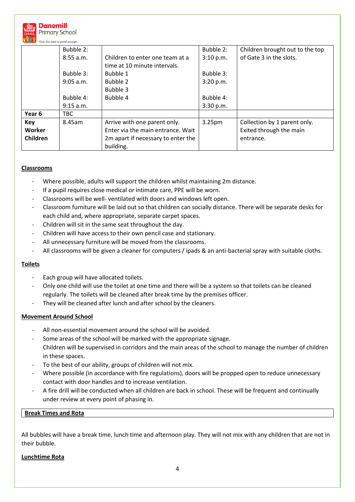

|                 | Bubble 2:   |                                                                 | Bubble 2:          | Children brought out to the top |
|-----------------|-------------|-----------------------------------------------------------------|--------------------|---------------------------------|
|                 | 8:55 a.m.   | Children to enter one team at a<br>time at 10 minute intervals. | 3:10 p.m.          | of Gate 3 in the slots.         |
|                 | Bubble 3:   | Bubble 1                                                        | Bubble 3:          |                                 |
|                 | $9:05$ a.m. | Bubble 2                                                        | 3:20 p.m.          |                                 |
|                 |             | Bubble 3                                                        |                    |                                 |
|                 | Bubble 4:   | Bubble 4                                                        | Bubble 4:          |                                 |
|                 | 9:15 a.m.   |                                                                 | 3:30 p.m.          |                                 |
| Year 6          | <b>TBC</b>  |                                                                 |                    |                                 |
| <b>Key</b>      | 8.45am      | Arrive with one parent only.                                    | 3.25 <sub>pm</sub> | Collection by 1 parent only.    |
| Worker          |             | Enter via the main entrance. Wait                               |                    | Exited through the main         |
| <b>Children</b> |             | 2m apart if necessary to enter the<br>building.                 |                    | entrance.                       |

# **Classrooms**

- Where possible, adults will support the children whilst maintaining 2m distance.
- If a pupil requires close medical or intimate care, PPE will be worn.
- Classrooms will be well- ventilated with doors and windows left open.
- Classroom furniture will be laid out so that children can socially distance. There will be separate desks for each child and, where appropriate, separate carpet spaces.
- Children will sit in the same seat throughout the day.
- Children will have access to their own pencil case and stationary.
- All unnecessary furniture will be moved from the classrooms.
- All classrooms will be given a cleaner for computers / ipads & an anti-bacterial spray with suitable cloths.

#### **Toilets**

- Each group will have allocated toilets.
- Only one child will use the toilet at one time and there will be a system so that toilets can be cleaned regularly. The toilets will be cleaned after break time by the premises officer.
- They will be cleaned after lunch and after school by the cleaners.

#### **Movement Around School**

- All non-essential movement around the school will be avoided.
- Some areas of the school will be marked with the appropriate signage. Children will be supervised in corridors and the main areas of the school to manage the number of children in these spaces.
- To the best of our ability, groups of children will not mix.
- Where possible (in accordance with fire regulations), doors will be propped open to reduce unnecessary contact with door handles and to increase ventilation.
- A fire drill will be conducted when all children are back in school. These will be frequent and continually under review at every point of phasing in.

#### **Break Times and Rota**

All bubbles will have a break time, lunch time and afternoon play. They will not mix with any children that are not in their bubble.

#### **Lunchtime Rota**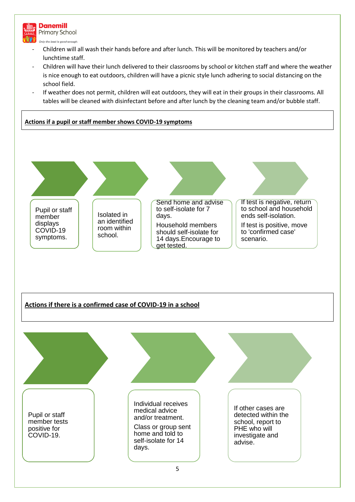

5